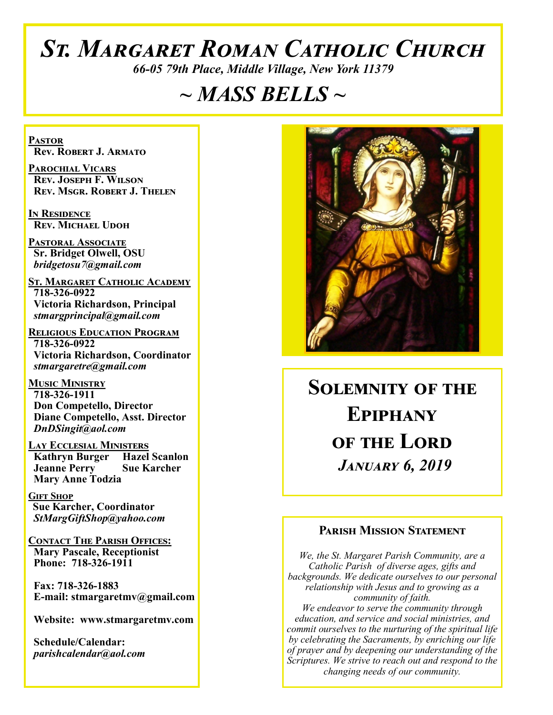# *St. Margaret Roman Catholic Church*

*66-05 79th Place, Middle Village, New York 11379*

# *~ MASS BELLS ~*

**Pastor Rev. Robert J. Armato**

**Parochial Vicars Rev. Joseph F. Wilson Rev. Msgr. Robert J. Thelen**

**In Residence Rev. Michael Udoh**

**Pastoral Associate Sr. Bridget Olwell, OSU**  *bridgetosu7@gmail.com*

**St. Margaret Catholic Academy 718-326-0922 Victoria Richardson, Principal**  *stmargprincipal@gmail.com*

**Religious Education Program 718-326-0922 Victoria Richardson, Coordinator** *stmargaretre@gmail.com*

**Music Ministry 718-326-1911 Don Competello, Director Diane Competello, Asst. Director** *DnDSingit@aol.com*

**Lay Ecclesial Ministers Kathryn Burger Hazel Scanlon**<br>**Jeanne Perry Sue Karcher Jeanne Perry Mary Anne Todzia**

**Gift Shop Sue Karcher, Coordinator** *StMargGiftShop@yahoo.com*

**Contact The Parish Offices: Mary Pascale, Receptionist Phone: 718-326-1911** 

 **Fax: 718-326-1883 E-mail: stmargaretmv@gmail.com**

 **Website: www.stmargaretmv.com**

 **Schedule/Calendar:** *parishcalendar@aol.com* 



**Solemnity of the Epiphany OF THE LORD** *January 6, 2019* 

#### **Parish Mission Statement**

*We, the St. Margaret Parish Community, are a Catholic Parish of diverse ages, gifts and backgrounds. We dedicate ourselves to our personal relationship with Jesus and to growing as a community of faith. We endeavor to serve the community through education, and service and social ministries, and commit ourselves to the nurturing of the spiritual life by celebrating the Sacraments, by enriching our life of prayer and by deepening our understanding of the Scriptures. We strive to reach out and respond to the changing needs of our community.*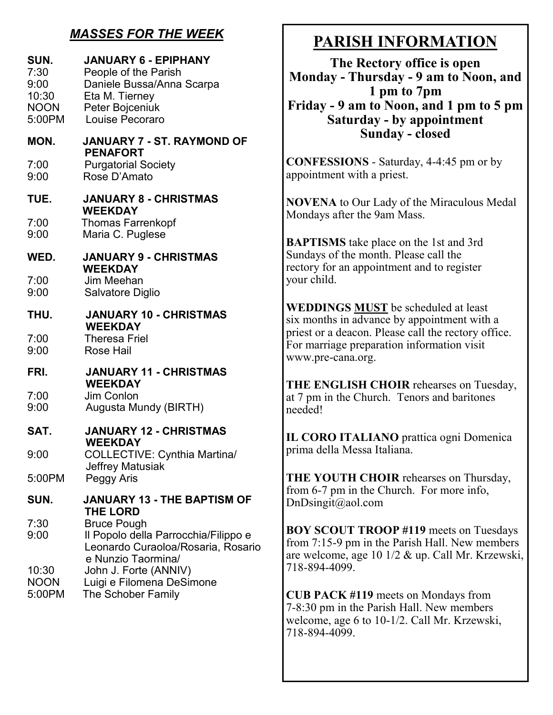## *MASSES FOR THE WEEK*

| SUN.<br>7:30<br>9:00<br>10:30<br><b>NOON</b><br>5:00PM | <b>JANUARY 6 - EPIPHANY</b><br>People of the Parish<br>Daniele Bussa/Anna Scarpa<br>Eta M. Tierney<br>Peter Bojceniuk<br>Louise Pecoraro |
|--------------------------------------------------------|------------------------------------------------------------------------------------------------------------------------------------------|
| MON.                                                   | JANUARY 7 - ST. RAYMOND OF                                                                                                               |
| 7:00<br>9:00                                           | <b>PENAFORT</b><br><b>Purgatorial Society</b><br>Rose D'Amato                                                                            |
| TUE.                                                   | <b>JANUARY 8 - CHRISTMAS</b>                                                                                                             |
| 7:00<br>9:00                                           | <b>WEEKDAY</b><br><b>Thomas Farrenkopf</b><br>Maria C. Puglese                                                                           |
| WED.                                                   | <b>JANUARY 9 - CHRISTMAS</b>                                                                                                             |
| 7:00<br>9:00                                           | <b>WEEKDAY</b><br>Jim Meehan<br>Salvatore Diglio                                                                                         |
| THU.                                                   | <b>JANUARY 10 - CHRISTMAS</b><br><b>WEEKDAY</b>                                                                                          |
| 7:00<br>9:00                                           | <b>Theresa Friel</b><br><b>Rose Hail</b>                                                                                                 |
| FRI.                                                   | <b>JANUARY 11 - CHRISTMAS</b><br><b>WEEKDAY</b>                                                                                          |
| 7:00<br>9:00                                           | Jim Conlon<br>Augusta Mundy (BIRTH)                                                                                                      |
| SAT.                                                   | <b>JANUARY 12 - CHRISTMAS</b><br><b>WEEKDAY</b>                                                                                          |
| 9:00                                                   | COLLECTIVE: Cynthia Martina/                                                                                                             |
| 5:00PM                                                 | <b>Jeffrey Matusiak</b><br>Peggy Aris                                                                                                    |
| SUN.                                                   | JANUARY 13 - THE BAPTISM OF<br><b>THE LORD</b>                                                                                           |
| 7:30<br>9:00                                           | <b>Bruce Pough</b><br>Il Popolo della Parrocchia/Filippo e<br>Leonardo Curaoloa/Rosaria, Rosario<br>e Nunzio Taormina/                   |
| 10:30<br><b>NOON</b><br>5:00PM                         | John J. Forte (ANNIV)<br>Luigi e Filomena DeSimone<br>The Schober Family                                                                 |

# **PARISH INFORMATION**

**The Rectory office is open Monday - Thursday - 9 am to Noon, and 1 pm to 7pm Friday - 9 am to Noon, and 1 pm to 5 pm Saturday - by appointment Sunday - closed**

**CONFESSIONS** - Saturday, 4-4:45 pm or by appointment with a priest.

**NOVENA** to Our Lady of the Miraculous Medal Mondays after the 9am Mass.

**BAPTISMS** take place on the 1st and 3rd Sundays of the month. Please call the rectory for an appointment and to register your child.

**WEDDINGS MUST** be scheduled at least six months in advance by appointment with a priest or a deacon. Please call the rectory office. For marriage preparation information visit www.pre-cana.org.

**THE ENGLISH CHOIR** rehearses on Tuesday, at 7 pm in the Church. Tenors and baritones needed!

**IL CORO ITALIANO** prattica ogni Domenica prima della Messa Italiana.

**THE YOUTH CHOIR** rehearses on Thursday, from 6-7 pm in the Church. For more info, DnDsingit@aol.com

**BOY SCOUT TROOP #119** meets on Tuesdays from 7:15-9 pm in the Parish Hall. New members are welcome, age 10 1/2 & up. Call Mr. Krzewski, 718-894-4099.

**CUB PACK #119** meets on Mondays from 7-8:30 pm in the Parish Hall. New members welcome, age 6 to 10-1/2. Call Mr. Krzewski, 718-894-4099.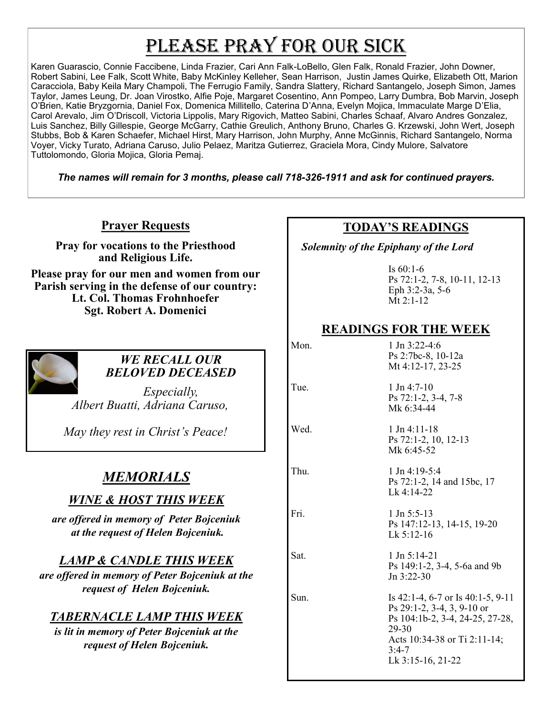# PLEASE PRAY FOR OUR SICK

Karen Guarascio, Connie Faccibene, Linda Frazier, Cari Ann Falk-LoBello, Glen Falk, Ronald Frazier, John Downer, Robert Sabini, Lee Falk, Scott White, Baby McKinley Kelleher, Sean Harrison, Justin James Quirke, Elizabeth Ott, Marion Caracciola, Baby Keila Mary Champoli, The Ferrugio Family, Sandra Slattery, Richard Santangelo, Joseph Simon, James Taylor, James Leung, Dr. Joan Virostko, Alfie Poje, Margaret Cosentino, Ann Pompeo, Larry Dumbra, Bob Marvin, Joseph O'Brien, Katie Bryzgornia, Daniel Fox, Domenica Millitello, Caterina D'Anna, Evelyn Mojica, Immaculate Marge D'Elia, Carol Arevalo, Jim O'Driscoll, Victoria Lippolis, Mary Rigovich, Matteo Sabini, Charles Schaaf, Alvaro Andres Gonzalez, Luis Sanchez, Billy Gillespie, George McGarry, Cathie Greulich, Anthony Bruno, Charles G. Krzewski, John Wert, Joseph Stubbs, Bob & Karen Schaefer, Michael Hirst, Mary Harrison, John Murphy, Anne McGinnis, Richard Santangelo, Norma Voyer, Vicky Turato, Adriana Caruso, Julio Pelaez, Maritza Gutierrez, Graciela Mora, Cindy Mulore, Salvatore Tuttolomondo, Gloria Mojica, Gloria Pemaj.

*The names will remain for 3 months, please call 718-326-1911 and ask for continued prayers.*

**Prayer Requests**

**Pray for vocations to the Priesthood and Religious Life.** 

**Please pray for our men and women from our Parish serving in the defense of our country: Lt. Col. Thomas Frohnhoefer Sgt. Robert A. Domenici** 



#### *WE RECALL OUR BELOVED DECEASED*

*Especially, Albert Buatti, Adriana Caruso,* 

*May they rest in Christ's Peace!*

## *MEMORIALS*

## *WINE & HOST THIS WEEK*

*are offered in memory of Peter Bojceniuk at the request of Helen Bojceniuk.* 

#### *LAMP & CANDLE THIS WEEK*

*are offered in memory of Peter Bojceniuk at the request of Helen Bojceniuk.* 

## *TABERNACLE LAMP THIS WEEK*

*is lit in memory of Peter Bojceniuk at the request of Helen Bojceniuk.* 

#### **TODAY'S READINGS**

 *Solemnity of the Epiphany of the Lord*

Is 60:1-6 Ps 72:1-2, 7-8, 10-11, 12-13 Eph 3:2-3a, 5-6 Mt 2:1-12

#### **READINGS FOR THE WEEK**

Mon. 1 Jn 3:22-4:6

Mt 4:12-17, 23-25 Tue. 1 Jn 4:7-10 Ps 72:1-2, 3-4, 7-8

Ps 2:7bc-8, 10-12a

Wed. 1 Jn 4:11-18 Ps 72:1-2, 10, 12-13 Mk 6:45-52

Mk 6:34-44

Thu. 1 Jn 4:19-5:4 Ps 72:1-2, 14 and 15bc, 17 Lk 4:14-22

Fri. 1 Jn 5:5-13 Ps 147:12-13, 14-15, 19-20 Lk 5:12-16

Sat. 1 Jn 5:14-21 Ps 149:1-2, 3-4, 5-6a and 9b Jn 3:22-30

Sun. Is 42:1-4, 6-7 or Is 40:1-5, 9-11 Ps 29:1-2, 3-4, 3, 9-10 or Ps 104:1b-2, 3-4, 24-25, 27-28, 29-30 Acts 10:34-38 or Ti 2:11-14; 3:4-7 Lk 3:15-16, 21-22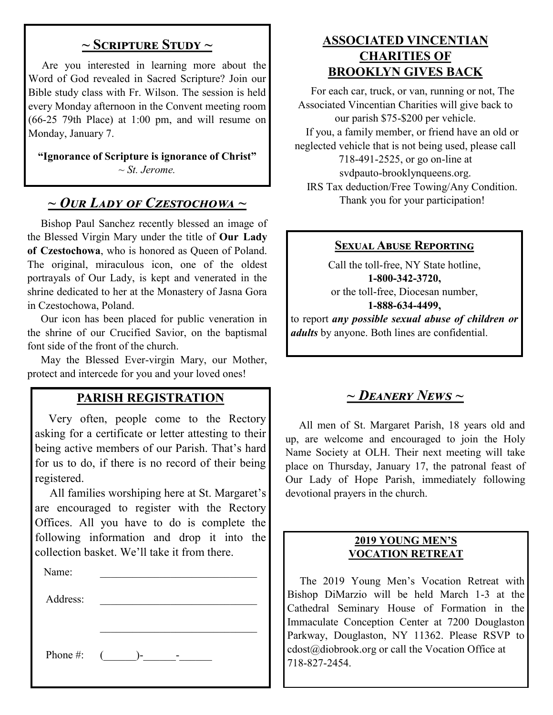#### **~ Scripture Study ~**

 Are you interested in learning more about the Word of God revealed in Sacred Scripture? Join our Bible study class with Fr. Wilson. The session is held every Monday afternoon in the Convent meeting room (66-25 79th Place) at 1:00 pm, and will resume on Monday, January 7.

**"Ignorance of Scripture is ignorance of Christ"** *~ St. Jerome.*

## *~ Our Lady of Czestochowa ~*

 Bishop Paul Sanchez recently blessed an image of the Blessed Virgin Mary under the title of **Our Lady of Czestochowa**, who is honored as Queen of Poland. The original, miraculous icon, one of the oldest portrayals of Our Lady, is kept and venerated in the shrine dedicated to her at the Monastery of Jasna Gora in Czestochowa, Poland.

 Our icon has been placed for public veneration in the shrine of our Crucified Savior, on the baptismal font side of the front of the church.

 May the Blessed Ever-virgin Mary, our Mother, protect and intercede for you and your loved ones!

#### **PARISH REGISTRATION**

 Very often, people come to the Rectory asking for a certificate or letter attesting to their being active members of our Parish. That's hard for us to do, if there is no record of their being registered.

 All families worshiping here at St. Margaret's are encouraged to register with the Rectory Offices. All you have to do is complete the following information and drop it into the collection basket. We'll take it from there. Ĭ

| Name:        |     |
|--------------|-----|
| Address:     |     |
|              |     |
|              |     |
| Phone #: $($ | $-$ |

#### **ASSOCIATED VINCENTIAN CHARITIES OF BROOKLYN GIVES BACK**

 For each car, truck, or van, running or not, The Associated Vincentian Charities will give back to our parish \$75-\$200 per vehicle. If you, a family member, or friend have an old or neglected vehicle that is not being used, please call 718-491-2525, or go on-line at svdpauto-brooklynqueens.org. IRS Tax deduction/Free Towing/Any Condition. Thank you for your participation!

#### **Sexual Abuse Reporting**

Call the toll-free, NY State hotline, **1-800-342-3720,** or the toll-free, Diocesan number, **1-888-634-4499,** to report *any possible sexual abuse of children or* 

*adults* by anyone. Both lines are confidential.

## *~ Deanery News ~*

 All men of St. Margaret Parish, 18 years old and up, are welcome and encouraged to join the Holy Name Society at OLH. Their next meeting will take place on Thursday, January 17, the patronal feast of Our Lady of Hope Parish, immediately following devotional prayers in the church.

#### **2019 YOUNG MEN'S VOCATION RETREAT**

 The 2019 Young Men's Vocation Retreat with Bishop DiMarzio will be held March 1-3 at the Cathedral Seminary House of Formation in the Immaculate Conception Center at 7200 Douglaston Parkway, Douglaston, NY 11362. Please RSVP to cdost@diobrook.org or call the Vocation Office at 718-827-2454.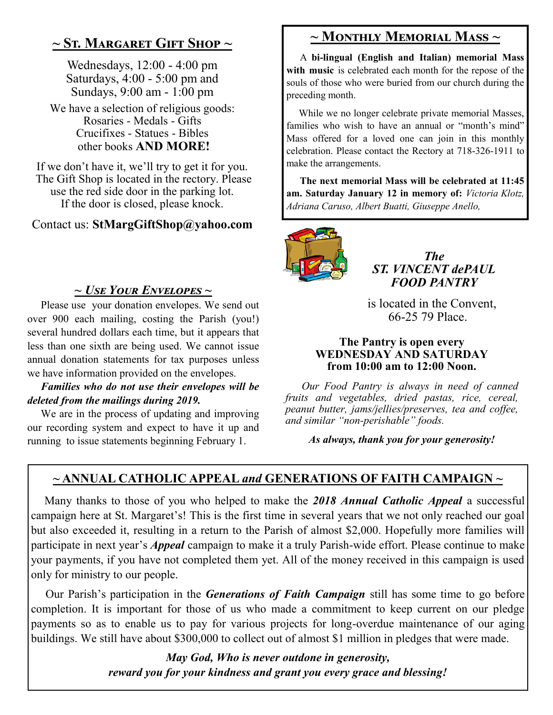## **~ St. Margaret Gift Shop ~**

Wednesdays, 12:00 - 4:00 pm Saturdays, 4:00 - 5:00 pm and Sundays, 9:00 am - 1:00 pm

We have a selection of religious goods: Rosaries - Medals - Gifts Crucifixes - Statues - Bibles other books **AND MORE!**

If we don't have it, we'll try to get it for you. The Gift Shop is located in the rectory. Please use the red side door in the parking lot. If the door is closed, please knock.

#### Contact us: **StMargGiftShop@yahoo.com**

#### *~ Use Your Envelopes ~*

 Please use your donation envelopes. We send out over 900 each mailing, costing the Parish (you!) several hundred dollars each time, but it appears that less than one sixth are being used. We cannot issue annual donation statements for tax purposes unless we have information provided on the envelopes.

#### *Families who do not use their envelopes will be deleted from the mailings during 2019.*

 We are in the process of updating and improving our recording system and expect to have it up and running to issue statements beginning February 1.

## **~ Monthly Memorial Mass ~**

 A **bi-lingual (English and Italian) memorial Mass with music** is celebrated each month for the repose of the souls of those who were buried from our church during the preceding month.

 While we no longer celebrate private memorial Masses, families who wish to have an annual or "month's mind" Mass offered for a loved one can join in this monthly celebration. Please contact the Rectory at 718-326-1911 to make the arrangements.

 **The next memorial Mass will be celebrated at 11:45 am. Saturday January 12 in memory of:** *Victoria Klotz, Adriana Caruso, Albert Buatti, Giuseppe Anello,* 



*The ST. VINCENT dePAUL FOOD PANTRY*

 is located in the Convent, 66-25 79 Place.

#### **The Pantry is open every WEDNESDAY AND SATURDAY from 10:00 am to 12:00 Noon.**

 *Our Food Pantry is always in need of canned fruits and vegetables, dried pastas, rice, cereal, peanut butter, jams/jellies/preserves, tea and coffee, and similar "non-perishable" foods.*

*As always, thank you for your generosity!*

## **~ ANNUAL CATHOLIC APPEAL** *and* **GENERATIONS OF FAITH CAMPAIGN ~**

 Many thanks to those of you who helped to make the *2018 Annual Catholic Appeal* a successful campaign here at St. Margaret's! This is the first time in several years that we not only reached our goal but also exceeded it, resulting in a return to the Parish of almost \$2,000. Hopefully more families will participate in next year's *Appeal* campaign to make it a truly Parish-wide effort. Please continue to make your payments, if you have not completed them yet. All of the money received in this campaign is used only for ministry to our people.

 Our Parish's participation in the *Generations of Faith Campaign* still has some time to go before completion. It is important for those of us who made a commitment to keep current on our pledge payments so as to enable us to pay for various projects for long-overdue maintenance of our aging buildings. We still have about \$300,000 to collect out of almost \$1 million in pledges that were made.

> *May God, Who is never outdone in generosity, reward you for your kindness and grant you every grace and blessing!*